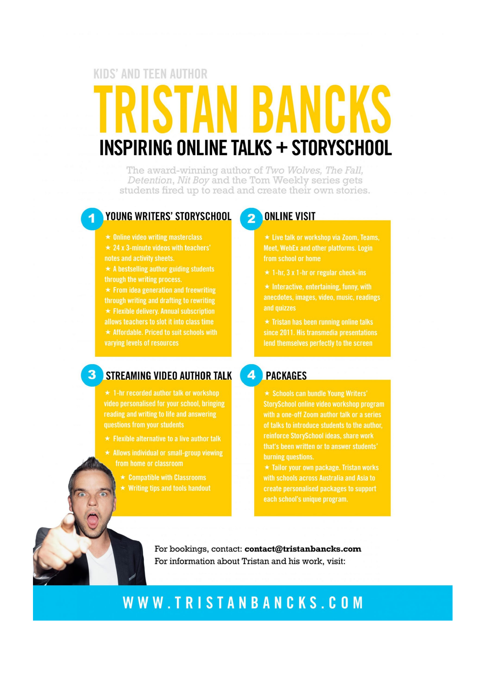# **KIDS' AND TEEN AUTHOR INSPIRING ONLINE TALKS + STORYSCHOOL**

The award-winning author of Two Wolves, The Fall, Detention, Nit Boy and the Tom Weekly series gets students fired up to read and create their own stories.

#### **YOUNG WRITERS' STORYSCHOOL**

 $\star$  Online video writing masterclass

 $\star$  24 x 3-minute videos with teachers'

 $\star$  A bestselling author guiding students through the writing process.

 $\star$  From idea generation and freewriting through writing and drafting to rewriting  $\star$  Flexible delivery. Annual subscription allows teachers to slot it into class time  $\star$  Affordable. Priced to suit schools with

varying levels of resources

#### **3** STREAMING VIDEO AUTHOR TALK

 $\star$  1-hr recorded author talk or workshop video personalised for your school, bringing reading and writing to life and answering

 $\star$  Flexible alternative to a live author talk

- $\star$  Allows individual or small-group viewing from home or classroom
	- $\star$  Writing tips and tools handout

#### **ONLINE VISIT**  $\mathbf{2}$

★ Live talk or workshop via Zoom, Teams, Meet. WebEx and other platforms. Login from school or home

 $\star$  Interactive, entertaining, funny, with and quizzes

 $\star$  Tristan has been running online talks since 2011. His transmedia presentations

#### 4 PACKAGES

★ Schools can bundle Young Writers' StorySchool online video workshop program with a one-off Zoom author talk or a series of talks to introduce students to the author. reinforce StorySchool ideas, share work that's been written or to answer students' burning questions.

★ Tailor your own package. Tristan works with schools across Australia and Asia to create personalised packages to support each school's unique program.

For bookings, contact: contact@tristanbancks.com For information about Tristan and his work, visit:

# WWW.TRISTANBANCKS.COM